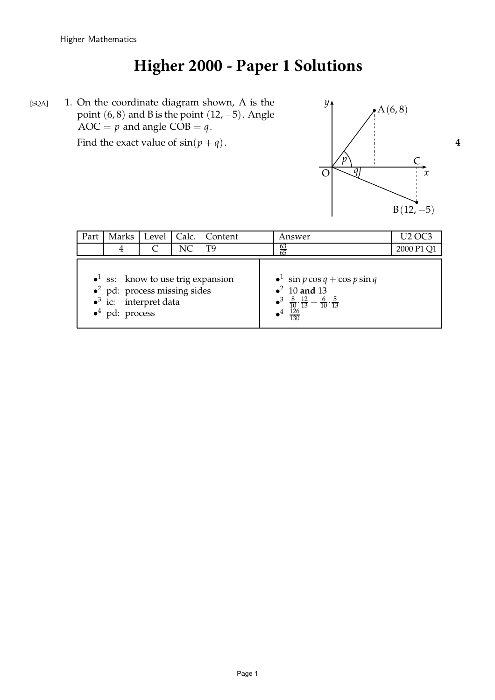# **Higher 2000 - Paper 1 Solutions**

[SQA] 1. On the coordinate diagram shown, A is the point (6,8) and B is the point (12, -PSfrag replacements  $AOC = p$  and angle  $COB = q$ . Find the exact value of  $sin(p+q)$ . 4 O *4*  $\sqrt{x}$ *y*  $A(6, 8)$  $\overline{C}$ *p q*

| Part |                                                                                                                                                             | Marks   Level   Calc. |     | Content | Answer                                                                                                                                                              | U <sub>2</sub> OC <sup>-</sup> |
|------|-------------------------------------------------------------------------------------------------------------------------------------------------------------|-----------------------|-----|---------|---------------------------------------------------------------------------------------------------------------------------------------------------------------------|--------------------------------|
|      | 4                                                                                                                                                           |                       | NC. | T9      | $\frac{63}{65}$                                                                                                                                                     | 2000 P1 Q1                     |
|      | $\bullet$ <sup>1</sup> ss: know to use trig expansion<br>$\bullet^2$ pd: process missing sides<br>$\bullet^3$ ic: interpret data<br>$\bullet^4$ pd: process |                       |     |         | $\bullet^1$ sin $p \cos q + \cos p \sin q$<br>$\bullet^2$ 10 and 13<br>• $\frac{3}{10} \cdot \frac{8}{13} + \frac{6}{10} \cdot \frac{5}{13}$<br>• $\frac{126}{130}$ |                                |

replacements

- O
	- *x*
	- *y*

 $B(12, -5)$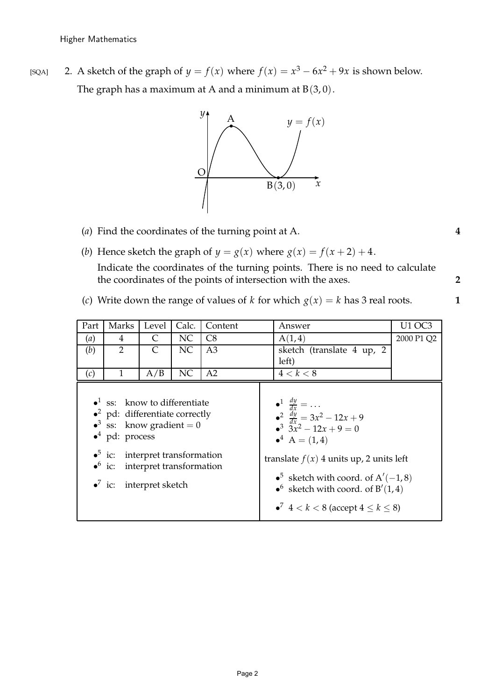[SQA] 2. A sketch of the graph of  $y = f(x)$  where  $f(x) = x^3 - 6x^2 + 9x$  is shown below. The graph has a maximum at A and a minimum at  $B(3, 0)$ .



- (*a*) Find the coordinates of the turning point at A. **4**
- (*b*) Hence sketch the graph of  $y = g(x)$  where  $g(x) = f(x + 2) + 4$ . Indicate the coordinates of the turning points. There is no need to calculate the coordinates of the points of intersection with the axes. **2**
- (*c*) Write down the range of values of *k* for which  $g(x) = k$  has 3 real roots. **1**

|      | (c) Write down the range of values of k for which $g(x) = k$ has 3 real roots.                                                                                                                                                                                    |                          |       |         |                                                                                                                                                                                                                                                                                                                                |            |  |  |  |  |  |
|------|-------------------------------------------------------------------------------------------------------------------------------------------------------------------------------------------------------------------------------------------------------------------|--------------------------|-------|---------|--------------------------------------------------------------------------------------------------------------------------------------------------------------------------------------------------------------------------------------------------------------------------------------------------------------------------------|------------|--|--|--|--|--|
| Part | Marks                                                                                                                                                                                                                                                             | Level                    | Calc. | Content | Answer                                                                                                                                                                                                                                                                                                                         | U1 OC3     |  |  |  |  |  |
| (a)  | 4                                                                                                                                                                                                                                                                 | C                        | NC    | C8      | A(1,4)                                                                                                                                                                                                                                                                                                                         | 2000 P1 Q2 |  |  |  |  |  |
| (b)  | $\overline{2}$                                                                                                                                                                                                                                                    | C                        | NC    | A3      | sketch (translate 4 up, 2<br>left)                                                                                                                                                                                                                                                                                             |            |  |  |  |  |  |
| (c)  | $\mathbf{1}$                                                                                                                                                                                                                                                      | A/B                      | NC    | A2      | 4 < k < 8                                                                                                                                                                                                                                                                                                                      |            |  |  |  |  |  |
|      | $\bullet$ <sup>1</sup> ss: know to differentiate<br>$\bullet^2$ pd: differentiate correctly<br>• <sup>3</sup> ss: know gradient = 0<br>$\bullet^4$ pd: process<br>$\bullet^5$ ic: interpret transformation<br>$\bullet^6$ ic:<br>$\bullet^7$ ic: interpret sketch | interpret transformation |       |         | $\bullet^1$ $\frac{dy}{dx} = \dots$<br>• $\frac{dy}{dx} = 3x^2 - 12x + 9$<br>• $\frac{3}{2}x^2 - 12x + 9 = 0$<br>$A^4 A = (1, 4)$<br>translate $f(x)$ 4 units up, 2 units left<br>• <sup>5</sup> sketch with coord. of $A'(-1,8)$<br>• sketch with coord. of $B'(1,4)$<br>• <sup>7</sup> $4 < k < 8$ (accept $4 \le k \le 8$ ) |            |  |  |  |  |  |

replacements

O

*x*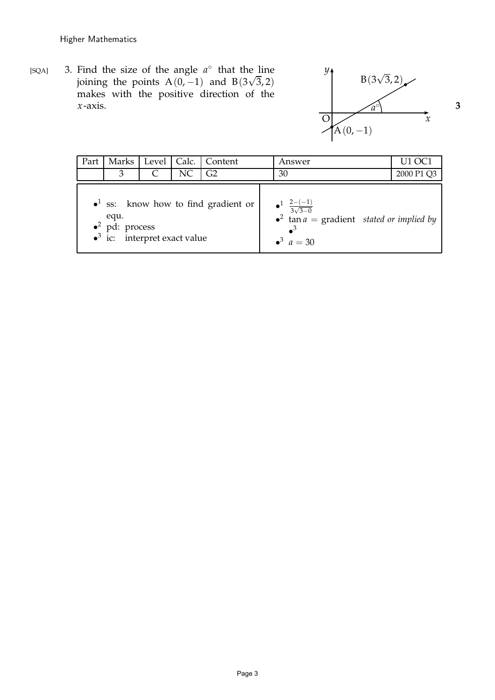[SQA] 3. Find the size of the angle  $a^{\circ}$  that the line joining the points  $A(0, -1)$  and  $B(3\sqrt{3}, 2)$ makes with the positive direction of the *x*-axis.  $\qquad \qquad \qquad$  3 PSfrag replacements



| Part                                                                                                                                |   |           |    | Marks   Level   Calc.   Content |  | Answer                                                                                                                        | U1 OC1     |
|-------------------------------------------------------------------------------------------------------------------------------------|---|-----------|----|---------------------------------|--|-------------------------------------------------------------------------------------------------------------------------------|------------|
|                                                                                                                                     | 3 | $\subset$ | NC | G <sub>2</sub>                  |  | 30                                                                                                                            | 2000 P1 Q3 |
| $\bullet$ <sup>1</sup> ss: know how to find gradient or<br>equ.<br>$\bullet^2$ pd: process<br>$\bullet^3$ ic: interpret exact value |   |           |    |                                 |  | $\bullet^1$ $\frac{2-(-1)}{3\sqrt{3-0}}$<br>• tan $a =$ gradient <i>stated or implied by</i><br>$\bullet^3$<br>$a^3$ $a = 30$ |            |

replacements

O

- *x y*
-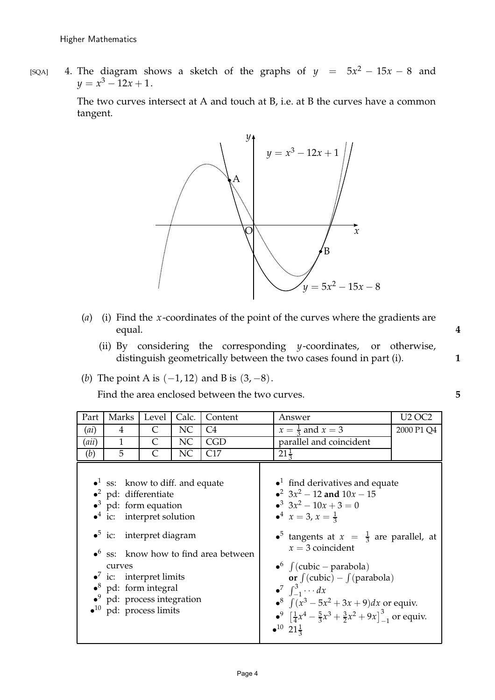[SQA] 4. The diagram shows a sketch of the graphs of  $y = 5x^2 - 15x - 8$  and  $y = x^3 - 12x + 1.$ 

> The two curves intersect at A and touch at B, i.e. at B the curves have a common tangent.



- (*a*) (i) Find the *x*-coordinates of the point of the curves where the gradients are equal. **4**
	- (ii) By considering the corresponding *y*-coordinates, or otherwise, distinguish geometrically between the two cases found in part (i). **1**
- (*b*) The point A is (−1, 12) and B is (3, −8).

Find the area enclosed between the two curves. **5**

| Part  | Marks                                                                                                                                                                                                                                                                                                                                                              | Level                       | Calc. | Content                                                  | Answer                                                                                                                                                                                                                                                                                                                                                                                                                                                                                                                                                                 | <b>U<sub>2</sub></b> OC <sub>2</sub> |
|-------|--------------------------------------------------------------------------------------------------------------------------------------------------------------------------------------------------------------------------------------------------------------------------------------------------------------------------------------------------------------------|-----------------------------|-------|----------------------------------------------------------|------------------------------------------------------------------------------------------------------------------------------------------------------------------------------------------------------------------------------------------------------------------------------------------------------------------------------------------------------------------------------------------------------------------------------------------------------------------------------------------------------------------------------------------------------------------------|--------------------------------------|
| (ai)  | $\overline{4}$                                                                                                                                                                                                                                                                                                                                                     | C                           | NC    | C <sub>4</sub>                                           | $x=\frac{1}{3}$ and $x=3$                                                                                                                                                                                                                                                                                                                                                                                                                                                                                                                                              | 2000 P1 Q4                           |
| (aii) | $\mathbf{1}$                                                                                                                                                                                                                                                                                                                                                       | $\mathcal{C}_{\mathcal{C}}$ | NC    | <b>CGD</b>                                               | parallel and coincident                                                                                                                                                                                                                                                                                                                                                                                                                                                                                                                                                |                                      |
| (b)   | 5                                                                                                                                                                                                                                                                                                                                                                  | C                           | NC    | C17                                                      | $21\frac{1}{2}$                                                                                                                                                                                                                                                                                                                                                                                                                                                                                                                                                        |                                      |
|       | $\bullet$ <sup>1</sup> ss: know to diff. and equate<br>$\bullet^2$ pd: differentiate<br>$\bullet^3$ pd: form equation<br>$\bullet^4$ ic: interpret solution<br>$\bullet^5$ ic: interpret diagram<br>curves<br>$\bullet$ ic: interpret limits<br>$\bullet^8$ pd: form integral<br>$\bullet^9$ pd: process integration<br>$\bullet$ <sup>10</sup> pd: process limits |                             |       | $\bullet$ <sup>6</sup> ss: know how to find area between | $\bullet$ <sup>1</sup> find derivatives and equate<br>• $3x^2 - 12$ and $10x - 15$<br>$3x^2 - 10x + 3 = 0$<br>$\bullet^4$ $x = 3, x = \frac{1}{3}$<br>• <sup>5</sup> tangents at $x = \frac{1}{3}$ are parallel, at<br>$x = 3$ coincident<br>$\bullet^6$ $\int$ (cubic – parabola)<br>or $\int$ (cubic) – $\int$ (parabola)<br>$\bullet^7 \quad \int_{-1}^3 \cdots dx$<br>• <sup>8</sup> $\int (x^3 - 5x^2 + 3x + 9) dx$ or equiv.<br>$\bullet^9$ $\left[\frac{1}{4}x^4 - \frac{5}{3}x^3 + \frac{3}{2}x^2 + 9x\right]^3$ , or equiv.<br>$\bullet^{10}$ $21\frac{1}{3}$ |                                      |

- replacements
	- *x y*

O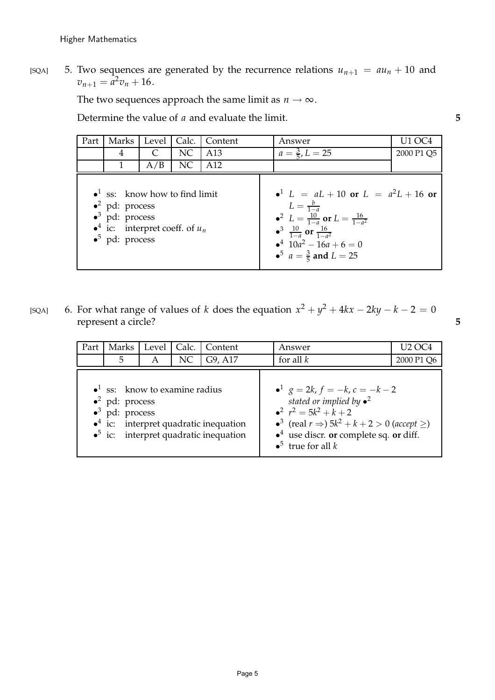[SQA] 5. Two sequences are generated by the recurrence relations  $u_{n+1} = au_n + 10$  and  $v_{n+1} = a^2 v_n + 16.$ 

The two sequences approach the same limit as  $n \to \infty$ .

Determine the value of *a* and evaluate the limit. **5**

| Part | Marks                                                                                                                                                                              | Level | Calc. | Content | Answer                                                                                                                                                                                                                                                                             | U1 OC4     |
|------|------------------------------------------------------------------------------------------------------------------------------------------------------------------------------------|-------|-------|---------|------------------------------------------------------------------------------------------------------------------------------------------------------------------------------------------------------------------------------------------------------------------------------------|------------|
|      | 4                                                                                                                                                                                  | C     | NC    | A13     | $a = \frac{3}{5}$ , $L = 25$                                                                                                                                                                                                                                                       | 2000 P1 Q5 |
|      |                                                                                                                                                                                    | A/B   | NC    | A12     |                                                                                                                                                                                                                                                                                    |            |
|      | $\bullet$ <sup>1</sup> ss: know how to find limit<br>$\bullet^2$ pd: process<br>$\bullet^3$ pd: process<br>• <sup>4</sup> ic: interpret coeff. of $u_n$<br>$\bullet^5$ pd: process |       |       |         | • <sup>1</sup> $L = aL + 10$ or $L = a^2L + 16$ or<br>$L = \frac{b}{1-a}$<br>• $L = \frac{10}{1-a}$ or $L = \frac{16}{1-a^2}$<br>$\bullet^3$ $\frac{10}{1-a}$ or $\frac{16}{1-a^2}$<br>$\bullet^4$ 10a <sup>2</sup> - 16a + 6 = 0<br>• <sup>5</sup> $a = \frac{3}{5}$ and $L = 25$ |            |

[SQA] 6. For what range of values of *k* does the equation  $x^2 + y^2 + 4kx - 2ky - k - 2 = 0$ represent a circle? **5**

> Part | Marks | Level | Calc. | Content | Answer | U2 OC4 5 A NC G9, A17 for all *k* 2000 P1 Q6  $\bullet$ <sup>1</sup> ss: know to examine radius  $\bullet^2$  pd: process  $\bullet^3$ pd: process  $\bullet$ <sup>4</sup> ic: interpret quadratic inequation  $\bullet^5$ interpret quadratic inequation  $e^1$  *g* = 2*k*, *f* = -*k*, *c* = -*k* - 2 *stated or implied by* • 2  $r^2 = 5k^2 + k + 2$ •<sup>3</sup> (real  $r \Rightarrow$ ) 5 $k^2 + k + 2 > 0$  (*accept*  $\geq$ ) • <sup>4</sup> use discr. **or** complete sq. **or** diff.  $\bullet^5$  true for all *k*

replacements

O

*x*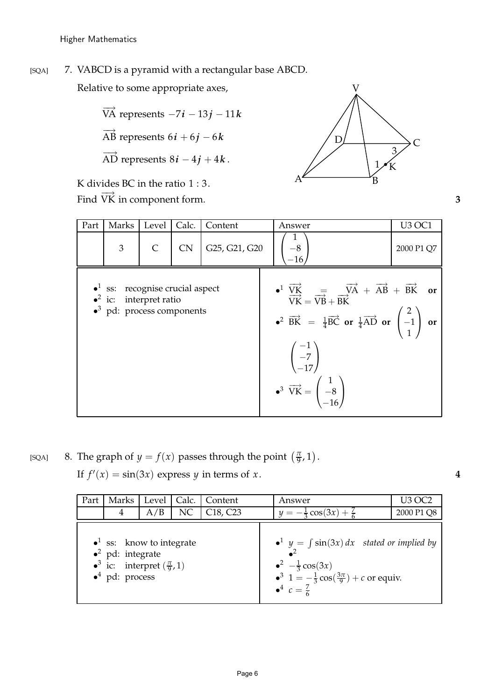O *x y*

Higher Mathematics

#### PSfrag replacements

[SQA] 7. VABCD is a pyramid with a rectangular base ABCD. O *x*

Relative to some appropriate axes,

- $\overrightarrow{VA}$  represents  $-7i 13j 11k$
- $\overrightarrow{AB}$  represents  $6i + 6j 6k$
- $\overrightarrow{AD}$  represents  $8i 4j + 4k$ .

K divides BC in the ratio  $1:3$ .

Find  $\overrightarrow{VK}$  in component form. **3** 

| Part | Marks                                                                                                                        | Level | Calc. | Content       | Answer                                                                                                                                                                                                                                                                                                                                                                                                                                                     | <b>U3 OC1</b> |
|------|------------------------------------------------------------------------------------------------------------------------------|-------|-------|---------------|------------------------------------------------------------------------------------------------------------------------------------------------------------------------------------------------------------------------------------------------------------------------------------------------------------------------------------------------------------------------------------------------------------------------------------------------------------|---------------|
|      | $\mathfrak{Z}$                                                                                                               |       | CN    | G25, G21, G20 | $-8$<br>$-16$                                                                                                                                                                                                                                                                                                                                                                                                                                              | 2000 P1 Q7    |
|      | $\bullet$ <sup>1</sup> ss: recognise crucial aspect<br>$\bullet^2$ ic: interpret ratio<br>$\bullet^3$ pd: process components |       |       |               | $\bullet^1 \; \frac{\overrightarrow{VK}}{\overrightarrow{VK}} = \frac{\overrightarrow{VA}}{\overrightarrow{VB}} + \overrightarrow{AB} + \overrightarrow{BK} \quad \text{or}$<br>• $\overrightarrow{BK} = \frac{1}{4}\overrightarrow{BC}$ or $\frac{1}{4}\overrightarrow{AD}$ or $\begin{pmatrix} 2 \\ -1 \\ 1 \end{pmatrix}$ or<br>$\begin{pmatrix} -1 \\ -7 \\ -17 \end{pmatrix}$<br>$\overrightarrow{VK} = \begin{pmatrix} 1 \\ -8 \\ -16 \end{pmatrix}$ |               |

[SQA] 8. The graph of  $y = f(x)$  passes through the point  $\left(\frac{\pi}{9}\right)$  $\frac{\pi}{9}$ , 1).

If  $f'(x) = \sin(3x)$  express *y* in terms of *x*. 4

| Part                                                                                                                                                      | Marks | Level | Calc. | Content                           | Answer                                                                                                                                                                                               | U3 OC2     |
|-----------------------------------------------------------------------------------------------------------------------------------------------------------|-------|-------|-------|-----------------------------------|------------------------------------------------------------------------------------------------------------------------------------------------------------------------------------------------------|------------|
|                                                                                                                                                           | 4     | A/B   | NC    | C <sub>18</sub> , C <sub>23</sub> | $y = -\frac{1}{3}\cos(3x) + \frac{7}{6}$                                                                                                                                                             | 2000 P1 Q8 |
| $\bullet$ <sup>1</sup> ss: know to integrate<br>$\bullet^2$ pd: integrate<br>• <sup>3</sup> ic: interpret $(\frac{\pi}{9}, 1)$<br>$\bullet^4$ pd: process |       |       |       |                                   | $\bullet^1$ y = $\int$ sin(3x) dx stated or implied by<br>$\bullet^2$ $-\frac{1}{3}\cos(3x)$<br>• <sup>3</sup> $1 = -\frac{1}{3}\cos(\frac{3\pi}{9}) + c$ or equiv.<br>$\bullet^4$ $c = \frac{7}{6}$ |            |

replacements

O *x*

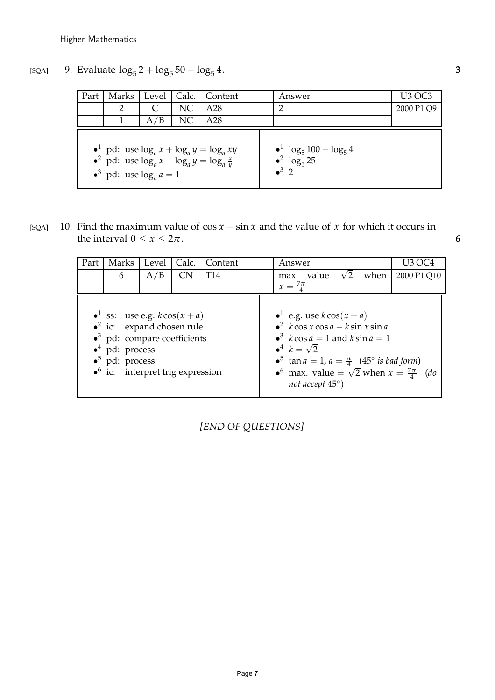PSfrag replacements

O *x y*

#### Higher Mathematics

[SQA] 9. Evaluate  $\log_5 2 + \log_5 50 - \log_5 50$ 4. **3**

| Part | Marks                                                                                      | Level | Calc. | Content                                                  | Answer                                                                 | U3 OC3     |
|------|--------------------------------------------------------------------------------------------|-------|-------|----------------------------------------------------------|------------------------------------------------------------------------|------------|
|      |                                                                                            |       | NC    | A28                                                      |                                                                        | 2000 P1 Q9 |
|      |                                                                                            | A/B   | NC    | A28                                                      |                                                                        |            |
|      | • pd: use $\log_a x - \log_a y = \log_a \frac{x}{y}$<br>$\bullet^3$ pd: use $\log_a a = 1$ |       |       | • <sup>1</sup> pd: use $\log_a x + \log_a y = \log_a xy$ | $\bullet^1 \log_5 100 - \log_5 4$<br>$\bullet^2$ $\log_5 25$<br>$^3$ 2 |            |

[SQA] 10. Find the maximum value of  $\cos x - \sin x$  and the value of *x* for which it occurs in the interval  $0 \le x \le 2\pi$ . **6** 

| Part | Marks                                                                                                                                                                                                                       | Level | Calc. | Content         | U3 OC4<br>Answer                                                                                                                                                                                                                                                                                                          |
|------|-----------------------------------------------------------------------------------------------------------------------------------------------------------------------------------------------------------------------------|-------|-------|-----------------|---------------------------------------------------------------------------------------------------------------------------------------------------------------------------------------------------------------------------------------------------------------------------------------------------------------------------|
|      | 6                                                                                                                                                                                                                           | A/B   | CN.   | T <sub>14</sub> | value $\sqrt{2}$<br>when<br>2000 P1 Q10<br>max                                                                                                                                                                                                                                                                            |
|      |                                                                                                                                                                                                                             |       |       |                 | $x=\frac{7\pi}{4}$                                                                                                                                                                                                                                                                                                        |
|      | • <sup>1</sup> ss: use e.g. $k \cos(x + a)$<br>$\bullet^2$ ic: expand chosen rule<br>$\bullet^3$ pd: compare coefficients<br>pd: process<br>$\bullet^5$ pd: process<br>$\bullet$ <sup>6</sup> ic: interpret trig expression |       |       |                 | • e.g. use $k \cos(x + a)$<br>$\epsilon^2$ k cos x cos a – k sin x sin a<br>$\bullet^3$ k cos a = 1 and k sin a = 1<br>$\bullet^4$ $k = \sqrt{2}$<br>• <sup>5</sup> tan $a = 1$ , $a = \frac{\pi}{4}$ (45° is bad form)<br>• max. value = $\sqrt{2}$ when $x = \frac{7\pi}{4}$ ( <i>do</i> )<br>not accept $45^{\circ}$ ) |

*[END OF QUESTIONS]*

replacements

O *x*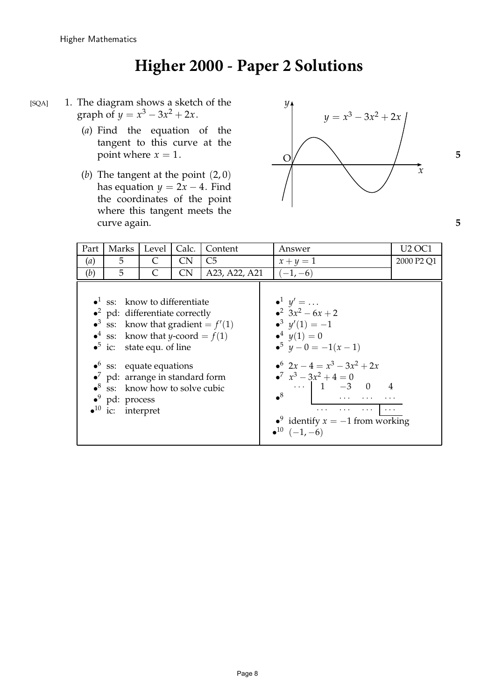## **Higher 2000 - Paper 2 Solutions**

- [SQA] 1. The diagram shows a sketch of the graph of  $y = x^3 - 3x^2 + 2x$ .
	- (*a*) Find the equation of the tangent to this curve at the
	- (*b*) The tangent at the point (2, 0) has equation  $y = 2x - 4$ . Find the coordinates of the point where this tangent meets the curve again. **5**



| Part | Marks                                                                                                                                                                                                                                                                                                                                                                                                                                      | Level     | Calc.     | Content        | Answer                                                                                                                                                                                                                                                                                                                                                                                                                                                                                                                                                                                                                                                                                                                                                                                                                                      | <b>U2 OC1</b>                      |
|------|--------------------------------------------------------------------------------------------------------------------------------------------------------------------------------------------------------------------------------------------------------------------------------------------------------------------------------------------------------------------------------------------------------------------------------------------|-----------|-----------|----------------|---------------------------------------------------------------------------------------------------------------------------------------------------------------------------------------------------------------------------------------------------------------------------------------------------------------------------------------------------------------------------------------------------------------------------------------------------------------------------------------------------------------------------------------------------------------------------------------------------------------------------------------------------------------------------------------------------------------------------------------------------------------------------------------------------------------------------------------------|------------------------------------|
| (a)  | 5                                                                                                                                                                                                                                                                                                                                                                                                                                          | C         | CN.       | C <sub>5</sub> | $x+y=1$                                                                                                                                                                                                                                                                                                                                                                                                                                                                                                                                                                                                                                                                                                                                                                                                                                     | 2000 P <sub>2</sub> Q <sub>1</sub> |
| (b)  | 5                                                                                                                                                                                                                                                                                                                                                                                                                                          | $\subset$ | <b>CN</b> | A23, A22, A21  | $(-1,-6)$                                                                                                                                                                                                                                                                                                                                                                                                                                                                                                                                                                                                                                                                                                                                                                                                                                   |                                    |
|      | $\bullet$ <sup>1</sup> ss: know to differentiate<br>$\bullet^2$ pd: differentiate correctly<br>• <sup>3</sup> ss: know that gradient = $f'(1)$<br>• ss: know that <i>y</i> -coord = $f(1)$<br>$\bullet^5$ ic: state equ. of line<br>$\bullet$ <sup>6</sup> ss: equate equations<br>$\bullet^7$ pd: arrange in standard form<br>$\bullet^8$ ss: know how to solve cubic<br>$\bullet^9$ pd: process<br>$\bullet$ <sup>10</sup> ic: interpret |           |           |                | $\bullet^1$ $y' = \dots$<br>$x^2$ 3x <sup>2</sup> - 6x + 2<br>$\bullet^3 \ \nu'(1) = -1$<br>$\bullet^4 \ \ y(1) = 0$<br>$\bullet^5$ $y - 0 = -1(x - 1)$<br>$\bullet^6$ 2x - 4 = $x^3$ - 3x <sup>2</sup> + 2x<br>$x^7$ $x^3$ $-3x^2$ $+4=0$<br>$\cdots$ 1 -3 0 4<br>$\mathbf{R}^8$<br>$\mathbf{1} \cdot \mathbf{1} \cdot \mathbf{1} \cdot \mathbf{1} \cdot \mathbf{1} \cdot \mathbf{1} \cdot \mathbf{1} \cdot \mathbf{1} \cdot \mathbf{1} \cdot \mathbf{1} \cdot \mathbf{1} \cdot \mathbf{1} \cdot \mathbf{1} \cdot \mathbf{1} \cdot \mathbf{1} \cdot \mathbf{1} \cdot \mathbf{1} \cdot \mathbf{1} \cdot \mathbf{1} \cdot \mathbf{1} \cdot \mathbf{1} \cdot \mathbf{1} \cdot \mathbf{1} \cdot \mathbf{1} \cdot \mathbf{1} \cdot \mathbf{1} \cdot \mathbf{1} \cdot \mathbf{$<br>• identify $x = -1$ from working<br>$\bullet^{10}$ $(-1, -6)$ |                                    |

replacements

O

*x y*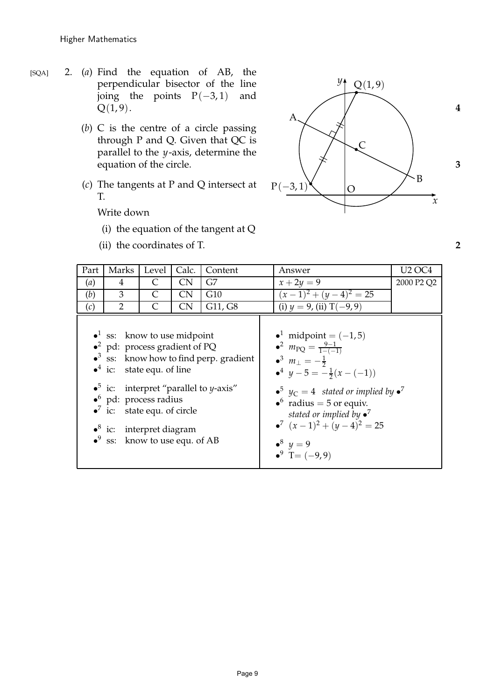O *x y*

- (*b*) C is the centre of a circle passing through P and Q. Given that QC is parallel to the *y*-axis, determine the
- (*c*) The tangents at P and Q intersect at T.

Write down

- (i) the equation of the tangent at Q
- (ii) the coordinates of T. **2**



| Part | Marks                                                                                                                                                                                                                                                                               | Level     | Calc.     | Content                                                                                                                 | Answer                                                                                                                                                                                                                                                                                                                                                                                               | <b>U2 OC4</b>                      |
|------|-------------------------------------------------------------------------------------------------------------------------------------------------------------------------------------------------------------------------------------------------------------------------------------|-----------|-----------|-------------------------------------------------------------------------------------------------------------------------|------------------------------------------------------------------------------------------------------------------------------------------------------------------------------------------------------------------------------------------------------------------------------------------------------------------------------------------------------------------------------------------------------|------------------------------------|
| (a)  | 4                                                                                                                                                                                                                                                                                   | C         | <b>CN</b> | G7                                                                                                                      | $x + 2y = 9$                                                                                                                                                                                                                                                                                                                                                                                         | 2000 P <sub>2</sub> Q <sub>2</sub> |
| (b)  | 3                                                                                                                                                                                                                                                                                   | $\subset$ | CN        | G10                                                                                                                     | $(x-1)^2 + (y-4)^2 = 25$                                                                                                                                                                                                                                                                                                                                                                             |                                    |
| (c)  | $\overline{2}$                                                                                                                                                                                                                                                                      | $\subset$ | <b>CN</b> | G11, G8                                                                                                                 | (i) $y = 9$ , (ii) T(-9,9)                                                                                                                                                                                                                                                                                                                                                                           |                                    |
|      | $\bullet$ <sup>1</sup> ss: know to use midpoint<br>• $^2$ pd: process gradient of PQ<br>$\bullet^4$ ic: state equ. of line<br>$\bullet^6$ pd: process radius<br>$\bullet^7$ ic: state equ. of circle<br>$\bullet^8$ ic: interpret diagram<br>$\bullet^9$ ss: know to use equ. of AB |           |           | $\bullet$ <sup>3</sup> ss: know how to find perp. gradient<br>• <sup>5</sup> ic: interpret "parallel to <i>y</i> -axis" | $\bullet^1$ midpoint = $(-1,5)$<br>• <sup>2</sup> $m_{\rm PQ} = \frac{9-1}{1-(-1)}$<br>$\bullet^3$ $m_{\perp} = -\frac{1}{2}$<br>$\bullet^4$ $y-5=-\frac{1}{2}(x-(-1))$<br>$\bullet^5$ $y_C = 4$ stated or implied by $\bullet^7$<br>$\bullet^6$ radius = 5 or equiv.<br>stated or implied by $\bullet^7$<br>• <sup>7</sup> $(x-1)^2 + (y-4)^2 = 25$<br>• <sup>8</sup> $y = 9$<br>$^9$ T = $(-9, 9)$ |                                    |

replacements

O

*x*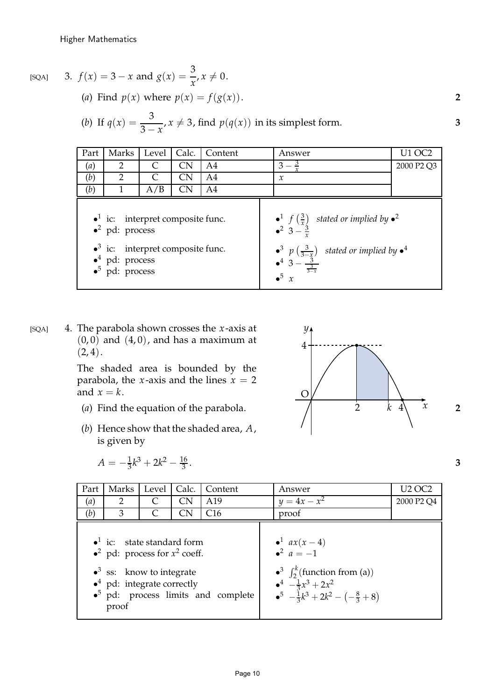$[SQA]$  3.  $f(x) = 3 - x$  and  $g(x) =$ 

(*a*) Find  $p(x)$  where  $p(x) = f(g(x))$ . 2

(b) If 
$$
q(x) = \frac{3}{3-x}
$$
,  $x \neq 3$ , find  $p(q(x))$  in its simplest form.

 $\frac{\sigma}{x}$ ,  $x \neq 0$ .

3

| Part | Marks                                                                                                                                                                              | Level | Calc.     | Content        | Answer                                                                                                                                                                                                                              | <b>U1 OC2</b> |
|------|------------------------------------------------------------------------------------------------------------------------------------------------------------------------------------|-------|-----------|----------------|-------------------------------------------------------------------------------------------------------------------------------------------------------------------------------------------------------------------------------------|---------------|
| (a)  | $\overline{2}$                                                                                                                                                                     |       | <b>CN</b> | A4             | $3-\frac{3}{2}$                                                                                                                                                                                                                     | 2000 P2 Q3    |
| (b)  | $\overline{2}$                                                                                                                                                                     |       | <b>CN</b> | A4             | $\mathcal{X}$                                                                                                                                                                                                                       |               |
| (b)  |                                                                                                                                                                                    | A/B   | <b>CN</b> | A <sub>4</sub> |                                                                                                                                                                                                                                     |               |
|      | $\bullet$ <sup>1</sup> ic: interpret composite func.<br>$\bullet^2$ pd: process<br>$\bullet^3$ ic: interpret composite func.<br>$\bullet^4$ pd: process<br>$\bullet^5$ pd: process |       |           |                | • $f\left(\frac{3}{x}\right)$ stated or implied by • <sup>2</sup><br>• $3-\frac{3}{x}$<br>$\bullet^3$ p $\left(\frac{3}{3-x}\right)$ stated or implied by $\bullet^4$<br>$\bullet^4$ 3 - $\frac{3}{\frac{3}{3-x}}$<br>$\bullet^5$ x |               |

[SQA] 4. The parabola shown crosses the *x*-axis at  $(0, 0)$  and  $(4, 0)$ , and has a maximum at  $(2, 4)$ . PSfrag replacements

The shaded area is bounded by the parabola, the *x*-axis and the lines  $x = 2$ and  $x = k$ .

- (*a*) Find the equation of the parabola.  $\begin{array}{ccc} \uparrow & \downarrow & \downarrow & \downarrow \end{array}$  2
- (*b*) Hence show that the shaded area, *A*, is given by

$$
A = -\frac{1}{3}k^3 + 2k^2 - \frac{16}{3}
$$



. **3**

| Part | Marks                                                                                                                                                                                | Level | Calc. | Content                                     | Answer                                                                                                                                                                       | <b>U2 OC2</b>                      |
|------|--------------------------------------------------------------------------------------------------------------------------------------------------------------------------------------|-------|-------|---------------------------------------------|------------------------------------------------------------------------------------------------------------------------------------------------------------------------------|------------------------------------|
| (a)  | 2                                                                                                                                                                                    |       | CN    | A <sub>19</sub>                             | $y = 4x - x^2$                                                                                                                                                               | 2000 P <sub>2</sub> Q <sub>4</sub> |
| (b)  | 3                                                                                                                                                                                    |       | CN    | C16                                         | proof                                                                                                                                                                        |                                    |
|      | $\bullet$ <sup>1</sup> ic: state standard form<br>• $2$ pd: process for $x^2$ coeff.<br>$\bullet^3$ ss: know to integrate<br>$\bullet$ <sup>4</sup> pd: integrate correctly<br>proof |       |       | $\bullet^5$ pd: process limits and complete | • $ax(x-4)$<br>• $a = -1$<br>$\bullet^3$ $\int_2^k$ (function from (a))<br>$\bullet^4$ $-\frac{1}{3}x^3 + 2x^2$<br>$\bullet^5$ $-\frac{1}{3}k^3 + 2k^2 - (-\frac{8}{3} + 8)$ |                                    |

replacements

O *x*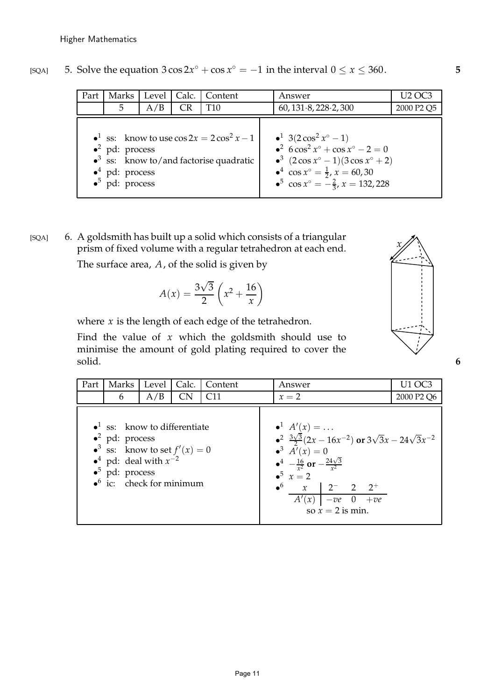|  | [SQA] 5. Solve the equation $3\cos 2x^{\circ} + \cos x^{\circ} = -1$ in the interval $0 \le x \le 360$ . |  |
|--|----------------------------------------------------------------------------------------------------------|--|
|--|----------------------------------------------------------------------------------------------------------|--|

| Part | Marks                                                                                                                                                                                      | Level | Calc.     | Content | Answer                                                                                                                                                                                                                                                                            | U2 OC3                             |
|------|--------------------------------------------------------------------------------------------------------------------------------------------------------------------------------------------|-------|-----------|---------|-----------------------------------------------------------------------------------------------------------------------------------------------------------------------------------------------------------------------------------------------------------------------------------|------------------------------------|
|      | 5                                                                                                                                                                                          | A/B   | <b>CR</b> | T10     | 60, 131.8, 228.2, 300                                                                                                                                                                                                                                                             | 2000 P <sub>2</sub> Q <sub>5</sub> |
|      | • ss: know to use $\cos 2x = 2\cos^2 x - 1$<br>$\bullet^2$ pd: process<br>$\bullet$ <sup>3</sup> ss: know to/and factorise quadratic<br>$\bullet^4$ pd: process<br>$\bullet^5$ pd: process |       |           |         | $\bullet^1$ 3(2 cos <sup>2</sup> x <sup>o</sup> - 1)<br>• $6\cos^2 x^\circ + \cos x^\circ - 2 = 0$<br>$\bullet^3$ $(2 \cos x^{\circ} - 1)(3 \cos x^{\circ} + 2)$<br>• $\cos x^\circ = \frac{1}{2}$ , $x = 60, 30$<br>• <sup>5</sup> $\cos x^\circ = -\frac{2}{3}$ , $x = 132,228$ |                                    |

[SQA] 6. A goldsmith has built up a solid which consists of a triangular prism of fixed volume with a regular tetrahedron at each end.

The surface area, *A*, of the solid is given by

$$
A(x) = \frac{3\sqrt{3}}{2} \left( x^2 + \frac{16}{x} \right)
$$

where  $x$  is the length of each edge of the tetrahedron.

Find the value of *x* which the goldsmith should use to minimise the amount of gold plating required to cover the solid. **6**

| Part | Marks                                                                                                                                                                                                                              | Level | Calc.     | Content         |  | Answer                                                                                                                                                                                                                                                                                | U1 OC3                             |
|------|------------------------------------------------------------------------------------------------------------------------------------------------------------------------------------------------------------------------------------|-------|-----------|-----------------|--|---------------------------------------------------------------------------------------------------------------------------------------------------------------------------------------------------------------------------------------------------------------------------------------|------------------------------------|
|      | 6                                                                                                                                                                                                                                  | A/B   | <b>CN</b> | C <sub>11</sub> |  | $x=2$                                                                                                                                                                                                                                                                                 | 2000 P <sub>2</sub> Q <sub>6</sub> |
|      | $\bullet$ <sup>1</sup> ss: know to differentiate<br>$\bullet^2$ pd: process<br>• <sup>3</sup> ss: know to set $f'(x) = 0$<br>• <sup>4</sup> pd: deal with $x^{-2}$<br>$\bullet^5$ pd: process<br>$\bullet^6$ ic: check for minimum |       |           |                 |  | $A'(x) = $<br>• $\frac{3\sqrt{3}}{2}(2x-16x^{-2})$ or $3\sqrt{3}x-24\sqrt{3}x^{-2}$<br>$A'(x) = 0$<br>$\bullet^4$ $-\frac{16}{r^2}$ or $-\frac{24\sqrt{3}}{r^2}$<br>$\bullet^5$ $x=2$<br>$\bullet^6$ x 2 <sup>-</sup> 2 2 <sup>+</sup><br>$A'(x)$ $-ve$ 0 $+ve$<br>so $x = 2$ is min. |                                    |

replacements

O

*x*

*y*

PSfrag replacements O *x y*

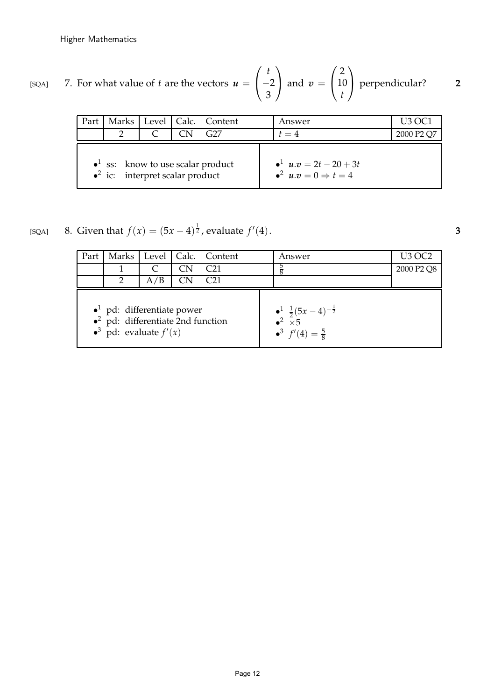PSfrag replacements

O *x*

*y*

$$
[SQA] \qquad \text{7. For what value of } t \text{ are the vectors } u = \begin{pmatrix} t \\ -2 \\ 3 \end{pmatrix} \text{ and } v = \begin{pmatrix} 2 \\ 10 \\ t \end{pmatrix} \text{ perpendicular?}
$$

|                                                                                                   |  |  |  | Part   Marks   Level   Calc.   Content | Answer                                                            | <b>U3 OC1</b>                      |
|---------------------------------------------------------------------------------------------------|--|--|--|----------------------------------------|-------------------------------------------------------------------|------------------------------------|
|                                                                                                   |  |  |  | G27                                    | $t=4$                                                             | 2000 P <sub>2</sub> Q <sub>7</sub> |
| $\bullet$ <sup>1</sup> ss: know to use scalar product<br>$\bullet^2$ ic: interpret scalar product |  |  |  |                                        | $u \cdot v = 2t - 20 + 3t$<br>$\bullet^2$ $u.v=0 \Rightarrow t=4$ |                                    |

[SQA] 8. Given that  $f(x) = (5x - 4)^{\frac{1}{2}}$ , evaluate  $f'$ (4). **3**

Higher Mathematics

| Part                                                                                                                             |  |     |  | Marks   Level   Calc.   Content |  | Answer                                                                                                            | <b>U3 OC2</b>                      |
|----------------------------------------------------------------------------------------------------------------------------------|--|-----|--|---------------------------------|--|-------------------------------------------------------------------------------------------------------------------|------------------------------------|
|                                                                                                                                  |  |     |  | C <sub>21</sub>                 |  |                                                                                                                   | 2000 P <sub>2</sub> Q <sub>8</sub> |
|                                                                                                                                  |  | A/B |  | ි?1                             |  |                                                                                                                   |                                    |
| $\bullet$ <sup>1</sup> pd: differentiate power<br>$\bullet^2$ pd: differentiate 2nd function<br>$\bullet^3$ pd: evaluate $f'(x)$ |  |     |  |                                 |  | $\frac{1}{2} \frac{1}{2}(5x-4)^{-\frac{1}{2}}$<br>$\rightarrow^2$ $\times 5$<br>$\bullet^3$ $f'(4) = \frac{5}{8}$ |                                    |

replacements

O

*x y*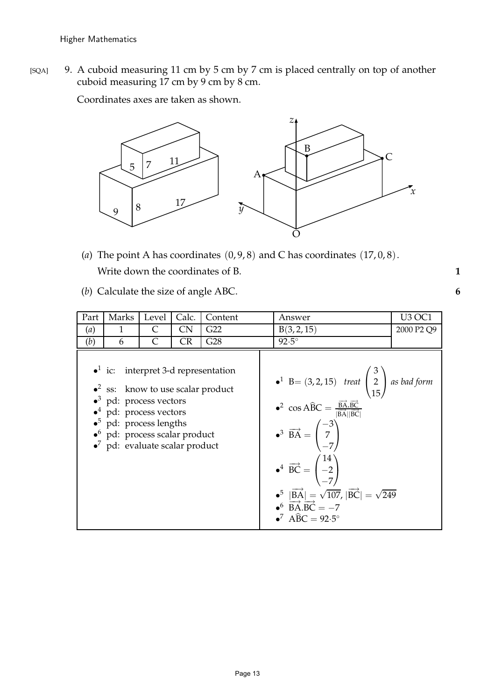Higher Mathematics

[SQA] 9. A cuboid measuring 11 cm by 5 cm by 7 cm is placed centrally on top of another  $\frac{1}{\text{cuboid}}$  measuring 17 cm by 9 cm by 8 cm. PSfrag replacements

Coordinates axes are taken as shown.



- (*a*) The point A has coordinates  $(0, 9, 8)$  and C has coordinates  $(17, 0, 8)$ . Write down the coordinates of B. **1**
- (*b*) Calculate the size of angle ABC. **6**

| Part | Marks                                                                                                                                                                                                                                                                                                         | Level | Calc.     | Content | Answer                                                                                                                                                                                                                                                                                                                                                                                                                                                                                                                                                                              | <b>U3 OC1</b>                      |
|------|---------------------------------------------------------------------------------------------------------------------------------------------------------------------------------------------------------------------------------------------------------------------------------------------------------------|-------|-----------|---------|-------------------------------------------------------------------------------------------------------------------------------------------------------------------------------------------------------------------------------------------------------------------------------------------------------------------------------------------------------------------------------------------------------------------------------------------------------------------------------------------------------------------------------------------------------------------------------------|------------------------------------|
| (a)  | 1                                                                                                                                                                                                                                                                                                             | C     | CN        | G22     | B(3, 2, 15)                                                                                                                                                                                                                                                                                                                                                                                                                                                                                                                                                                         | 2000 P <sub>2</sub> Q <sub>9</sub> |
| (b)  | 6                                                                                                                                                                                                                                                                                                             | C     | <b>CR</b> | G28     | $92.5^\circ$                                                                                                                                                                                                                                                                                                                                                                                                                                                                                                                                                                        |                                    |
|      | • ic: interpret 3-d representation<br>$\bullet$ <sup>2</sup> ss: know to use scalar product<br>$\bullet^3$ pd: process vectors<br>$\bullet$ <sup>4</sup> pd: process vectors<br>$\bullet^5$ pd: process lengths<br>$\bullet$ <sup>6</sup> pd: process scalar product<br>$\bullet$ pd: evaluate scalar product |       |           |         | • <sup>1</sup> B= (3, 2, 15) treat $\begin{pmatrix} 3 \\ 2 \\ 15 \end{pmatrix}$ as bad form<br>• <sup>2</sup> cos ABC = $\frac{\overrightarrow{BA} \cdot \overrightarrow{BC}}{ \overrightarrow{BA}  \overrightarrow{BC} }$<br>• <sup>3</sup> BA = $\begin{pmatrix} -3 \\ 7 \\ -7 \end{pmatrix}$<br>$\bullet^4$ $\overrightarrow{BC} = \begin{pmatrix} 14 \\ -2 \\ -7 \end{pmatrix}$<br>• <sup>5</sup> $ \overrightarrow{BA}  = \sqrt{107}$ , $ \overrightarrow{BC}  = \sqrt{249}$<br>• <sup>6</sup> $\overrightarrow{BA} \cdot \overrightarrow{BC} = -7$<br>$\bullet^7$ ABC = 92.5° |                                    |

replacements

O

*x*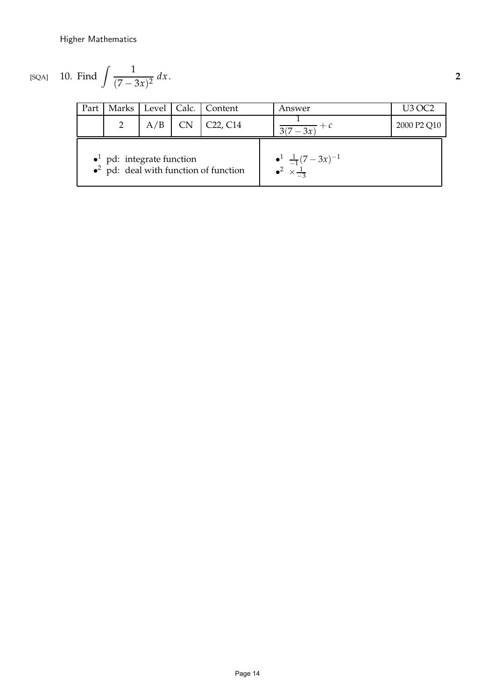PSfrag replacements

Higher Mathematics

O *x y*

$$
[SQA] \quad 10. \text{ Find } \int \frac{1}{(7-3x)^2} \, dx. \tag{2}
$$

| Part                                                                                            |   |     |  | Marks   Level   Calc.   Content   | Answer                                                                | U3 OC2      |
|-------------------------------------------------------------------------------------------------|---|-----|--|-----------------------------------|-----------------------------------------------------------------------|-------------|
|                                                                                                 | 2 | A/B |  | C <sub>22</sub> , C <sub>14</sub> | $\sqrt{3(7-3x)}$                                                      | 2000 P2 Q10 |
| $\bullet$ <sup>1</sup> pd: integrate function<br>$\bullet^2$ pd: deal with function of function |   |     |  |                                   | $\bullet^1 \frac{1}{-1}(7-3x)^{-1}$<br>$\bullet^2 \times \frac{1}{2}$ |             |

replacements

O *x*